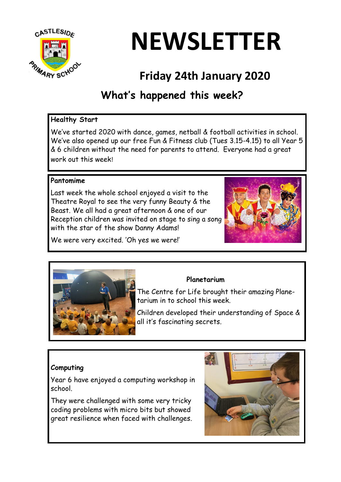

# **NEWSLETTER**

# **Friday 24th January 2020**

# **What's happened this week?**

## **Healthy Start**

We've started 2020 with dance, games, netball & football activities in school. We've also opened up our free Fun & Fitness club (Tues 3.15-4.15) to all Year 5 & 6 children without the need for parents to attend. Everyone had a great work out this week!

## **Pantomime**

Last week the whole school enjoyed a visit to the Theatre Royal to see the very funny Beauty & the Beast. We all had a great afternoon & one of our Reception children was invited on stage to sing a song with the star of the show Danny Adams!



We were very excited. 'Oh yes we were!'



# **Planetarium**

The Centre for Life brought their amazing Planetarium in to school this week.

Children developed their understanding of Space & all it's fascinating secrets.

# **Computing**

Year 6 have enjoyed a computing workshop in school.

They were challenged with some very tricky coding problems with micro bits but showed great resilience when faced with challenges.